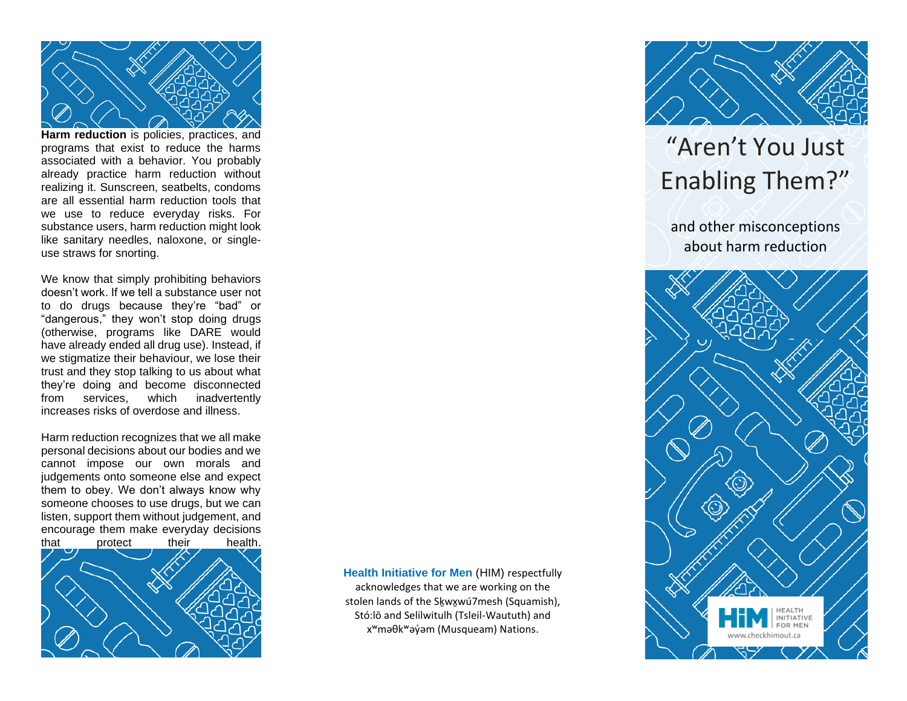

**Harm reduction** is policies, practices, and programs that exist to reduce the harms associated with a behavior. You probably already practice harm reduction without realizing it. Sunscreen, seatbelts, condoms are all essential harm reduction tools that we use to reduce everyday risks. For substance users, harm reduction might look like sanitary needles, naloxone, or singleuse straws for snorting.

We know that simply prohibiting behaviors doesn't work. If we tell a substance user not to do drugs because they're "bad" or "dangerous," they won't stop doing drugs (otherwise, programs like DARE would have already ended all drug use). Instead, if we stigmatize their behaviour, we lose their trust and they stop talking to us about what they're doing and become disconnected from services, which inadvertently increases risks of overdose and illness.

Harm reduction recognizes that we all make personal decisions about our bodies and we cannot impose our own morals and judgements onto someone else and expect them to obey. We don't always know why someone chooses to use drugs, but we can listen, support them without judgement, and encourage them make everyday decisions



**Health Initiative for Men** (HIM) respectfully acknowledges that we are working on the stolen lands of the Skwxwú7mesh (Squamish), Stó:lō and Selilwitulh (Tsleil-Waututh) and xʷməθkʷəy̓əm (Musqueam) Nations.



# "Aren't You Just Enabling Them?"

and other misconceptions about harm reduction